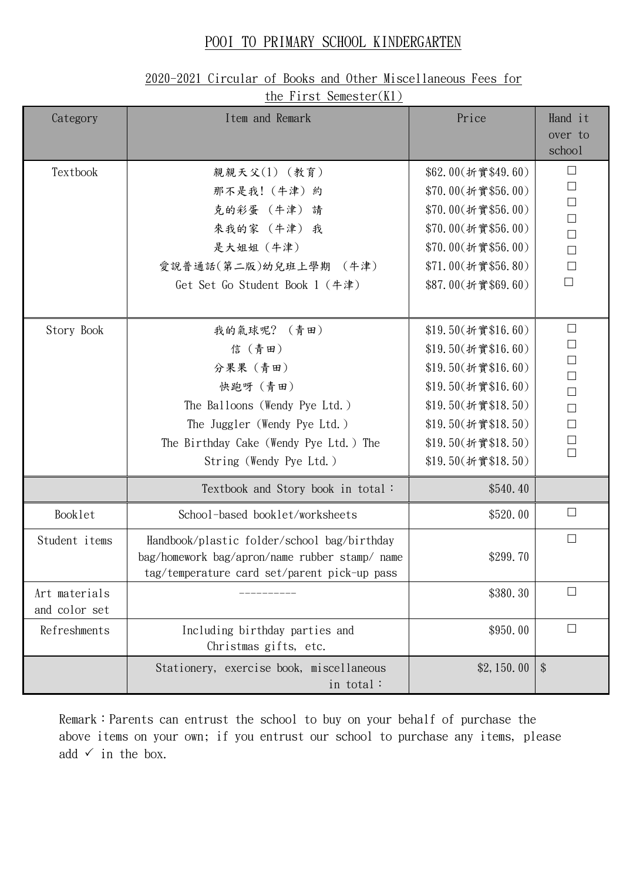## POOI TO PRIMARY SCHOOL KINDERGARTEN

## 2020-2021 Circular of Books and Other Miscellaneous Fees for the First Semester(K1)

| Category                       | I tem and Remark                                                                                                                                                                   | Price                                                                                                                                                                        | Hand it<br>over to<br>school                                                                                            |
|--------------------------------|------------------------------------------------------------------------------------------------------------------------------------------------------------------------------------|------------------------------------------------------------------------------------------------------------------------------------------------------------------------------|-------------------------------------------------------------------------------------------------------------------------|
| Textbook                       | 親親天父(1) (教育)<br>那不是我! (牛津) 約<br>克的彩蛋 (牛津) 請<br>來我的家 (牛津) 我<br>是大姐姐 (牛津)<br>愛說普通話(第二版)幼兒班上學期 (牛津)<br>Get Set Go Student Book 1 (牛津)                                                 | \$62.00(折實\$49.60)<br>\$70.00(折實\$56.00)<br>\$70.00(折實\$56.00)<br>\$70.00(折實\$56.00)<br>\$70.00(折實\$56.00)<br>\$71.00(折實\$56.80)<br>\$87.00(折實\$69.60)                       | $\Box$<br>$\Box$<br>$\Box$<br>$\Box$<br>$\Box$<br>$\Box$<br>$\Box$<br>$\Box$                                            |
| Story Book                     | 我的氣球呢? (青田)<br>信(青田)<br>分果果 (青田)<br>快跑呀 (青田)<br>The Balloons (Wendy Pye Ltd.)<br>The Juggler (Wendy Pye Ltd.)<br>The Birthday Cake (Wendy Pye Ltd.) The<br>String (Wendy Pye Ltd.) | \$19.50(折實\$16.60)<br>\$19.50(折實\$16.60)<br>\$19.50(折實\$16.60)<br>\$19.50(折實\$16.60)<br>\$19.50(折實\$18.50)<br>\$19.50(折實\$18.50)<br>\$19.50(折實\$18.50)<br>\$19.50(折實\$18.50) | $\Box$<br>$\Box$<br>$\Box$<br>$\Box$<br>$\Box$<br>$\Box$<br>$\Box$<br>$\begin{array}{c} \square \\ \square \end{array}$ |
|                                | Textbook and Story book in total:                                                                                                                                                  | \$540.40                                                                                                                                                                     |                                                                                                                         |
| Booklet                        | School-based booklet/worksheets                                                                                                                                                    | \$520.00                                                                                                                                                                     | $\Box$                                                                                                                  |
| Student items                  | Handbook/plastic folder/school bag/birthday<br>bag/homework bag/apron/name rubber stamp/ name<br>tag/temperature card set/parent pick-up pass                                      | \$299.70                                                                                                                                                                     | $\Box$                                                                                                                  |
| Art materials<br>and color set |                                                                                                                                                                                    | \$380.30                                                                                                                                                                     | $\Box$                                                                                                                  |
| Refreshments                   | Including birthday parties and<br>Christmas gifts, etc.                                                                                                                            | \$950.00                                                                                                                                                                     | $\Box$                                                                                                                  |
|                                | Stationery, exercise book, miscellaneous<br>in total:                                                                                                                              | \$2, 150.00                                                                                                                                                                  | $\boldsymbol{\mathcal{S}}$                                                                                              |

Remark:Parents can entrust the school to buy on your behalf of purchase the above items on your own; if you entrust our school to purchase any items, please add  $\checkmark$  in the box.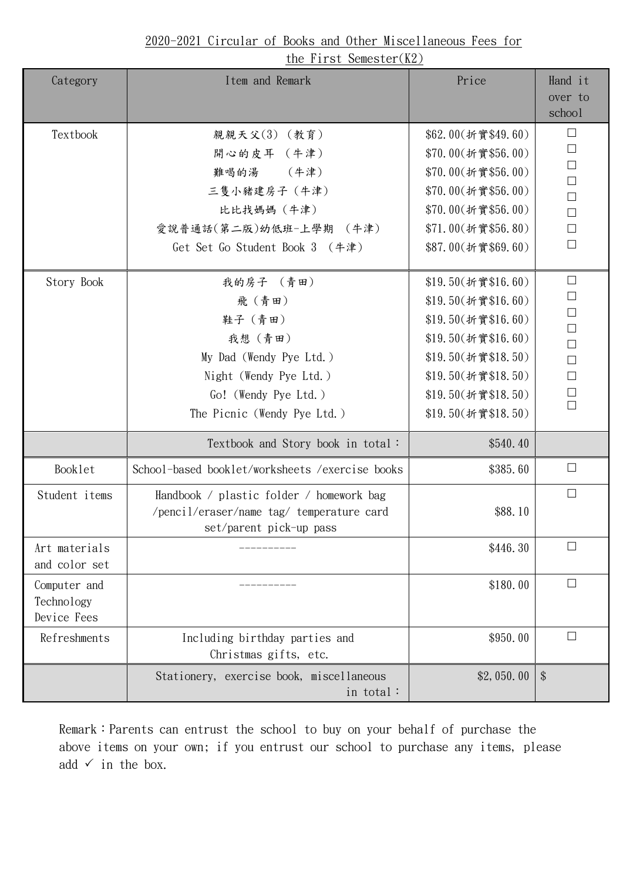| Category                                  | I tem and Remark                                                                                                 | Price                | Hand it                                           |
|-------------------------------------------|------------------------------------------------------------------------------------------------------------------|----------------------|---------------------------------------------------|
|                                           |                                                                                                                  |                      | over to                                           |
|                                           |                                                                                                                  |                      | school                                            |
| Textbook                                  | 親親天父(3) (教育)                                                                                                     | \$62.00(折實\$49.60)   | $\Box$                                            |
|                                           | 開心的皮耳 (牛津)                                                                                                       | \$70.00(折實\$56.00)   | $\Box$                                            |
|                                           | 難喝的湯 (牛津)                                                                                                        | \$70.00(折實\$56.00)   | $\Box$<br>$\Box$                                  |
|                                           | 三隻小豬建房子 (牛津)                                                                                                     | \$70.00(折實\$56.00)   | $\Box$                                            |
|                                           | 比比找媽媽 (牛津)                                                                                                       | \$70.00(折實\$56.00)   | $\Box$                                            |
|                                           | 愛說普通話(第二版)幼低班-上學期 (牛津)                                                                                           | \$71.00(折實\$56.80)   | $\Box$                                            |
|                                           | Get Set Go Student Book 3 (牛津)                                                                                   | \$87.00(折實\$69.60)   | $\Box$                                            |
| Story Book                                | 我的房子 (青田)                                                                                                        | $$19.50$ (折實\$16.60) | $\Box$                                            |
|                                           | 飛(青田)                                                                                                            | \$19.50(折實\$16.60)   | $\begin{array}{c} \square \\ \square \end{array}$ |
|                                           | 鞋子 (青田)                                                                                                          | \$19.50(折實\$16.60)   |                                                   |
|                                           | 我想(青田)                                                                                                           | \$19.50(折實\$16.60)   | $\begin{array}{c}\n\Box \\ \Box\n\end{array}$     |
|                                           | My Dad (Wendy Pye Ltd.)                                                                                          | \$19.50(折實\$18.50)   | $\Box$                                            |
|                                           | Night (Wendy Pye Ltd.)                                                                                           | \$19.50(折實\$18.50)   | $\Box$                                            |
|                                           | Go! (Wendy Pye Ltd.)                                                                                             | \$19.50(折實\$18.50)   | $\Box$                                            |
|                                           | The Picnic (Wendy Pye Ltd.)                                                                                      | \$19.50(折實\$18.50)   | $\Box$                                            |
|                                           | Textbook and Story book in total:                                                                                | \$540.40             |                                                   |
| Booklet                                   | School-based booklet/worksheets /exercise books                                                                  | \$385.60             | $\Box$                                            |
| Student items                             | Handbook / plastic folder / homework bag<br>/pencil/eraser/name tag/ temperature card<br>set/parent pick-up pass | \$88.10              | $\Box$                                            |
| Art materials<br>and color set            |                                                                                                                  | \$446.30             |                                                   |
| Computer and<br>Technology<br>Device Fees |                                                                                                                  | \$180.00             | L.                                                |
| Refreshments                              | Including birthday parties and<br>Christmas gifts, etc.                                                          | \$950.00             | П                                                 |
|                                           | Stationery, exercise book, miscellaneous<br>in total:                                                            | \$2,050.00           | $\boldsymbol{\mathcal{S}}$                        |

## 2020-2021 Circular of Books and Other Miscellaneous Fees for the First Semester(K2)

Remark: Parents can entrust the school to buy on your behalf of purchase the above items on your own; if you entrust our school to purchase any items, please add  $\checkmark$  in the box.